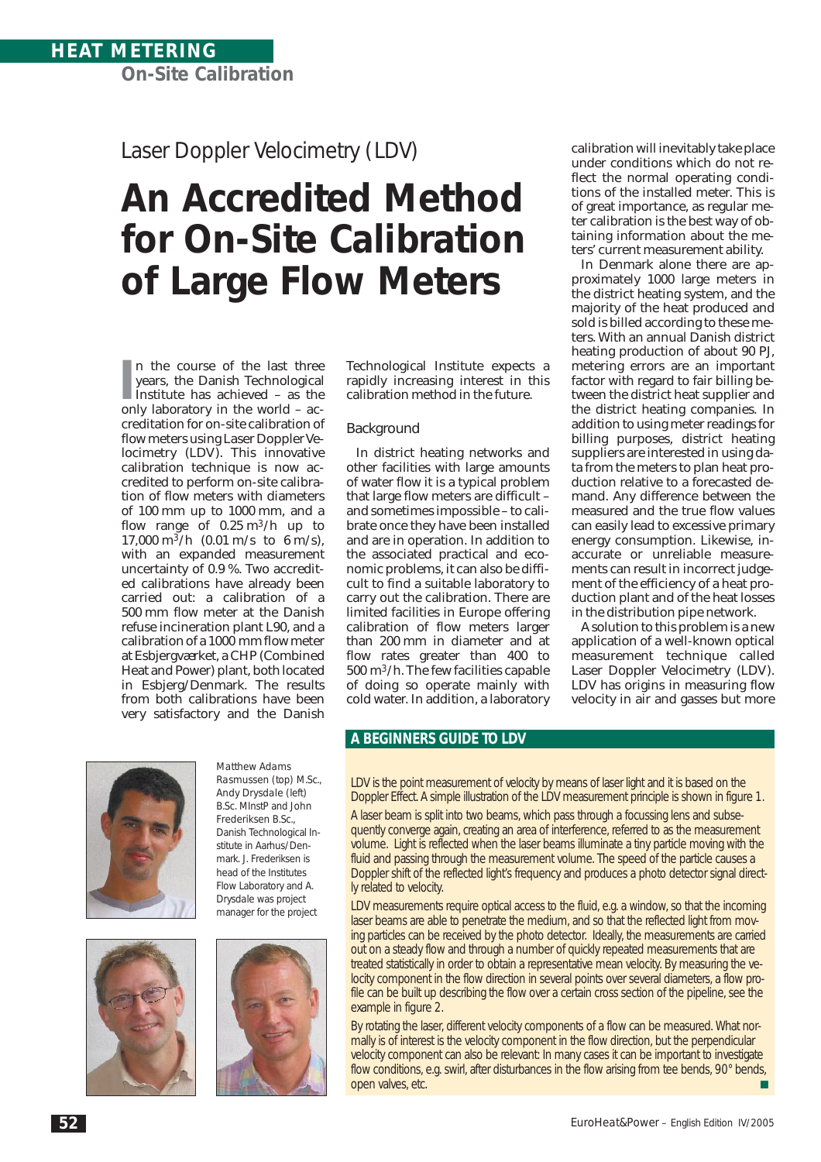Laser Doppler Velocimetry (LDV)

# **An Accredited Method for On-Site Calibration of Large Flow Meters**

In the course of the last three<br>
years, the Danish Technological<br>
Institute has achieved – as the<br>
only laboratory in the world – acn the course of the last three years, the Danish Technological only laboratory in the world – accreditation for on-site calibration of flow meters using Laser Doppler Velocimetry (LDV). This innovative calibration technique is now accredited to perform on-site calibration of flow meters with diameters of 100 mm up to 1000 mm, and a flow range of  $0.25 \text{ m}^3/\text{h}$  up to 17,000 m<sup>3</sup>/h (0.01 m/s to 6 m/s), with an expanded measurement uncertainty of 0.9 %. Two accredited calibrations have already been carried out: a calibration of a 500 mm flow meter at the Danish refuse incineration plant L90, and a calibration of a 1000 mm flow meter at Esbjergværket, a CHP (Combined Heat and Power) plant, both located in Esbjerg/Denmark. The results from both calibrations have been very satisfactory and the Danish

Technological Institute expects a rapidly increasing interest in this calibration method in the future.

## Background

In district heating networks and other facilities with large amounts of water flow it is a typical problem that large flow meters are difficult – and sometimes impossible – to calibrate once they have been installed and are in operation. In addition to the associated practical and economic problems, it can also be difficult to find a suitable laboratory to carry out the calibration. There are limited facilities in Europe offering calibration of flow meters larger than 200 mm in diameter and at flow rates greater than 400 to 500 m3/h. The few facilities capable of doing so operate mainly with cold water. In addition, a laboratory

calibration will inevitably take place under conditions which do not reflect the normal operating conditions of the installed meter. This is of great importance, as regular meter calibration is the best way of obtaining information about the meters' current measurement ability.

In Denmark alone there are approximately 1000 large meters in the district heating system, and the majority of the heat produced and sold is billed according to these meters. With an annual Danish district heating production of about 90 PJ, metering errors are an important factor with regard to fair billing between the district heat supplier and the district heating companies. In addition to using meter readings for billing purposes, district heating suppliers are interested in using data from the meters to plan heat production relative to a forecasted demand. Any difference between the measured and the true flow values can easily lead to excessive primary energy consumption. Likewise, inaccurate or unreliable measurements can result in incorrect judgement of the efficiency of a heat production plant and of the heat losses in the distribution pipe network.

A solution to this problem is a new application of a well-known optical measurement technique called Laser Doppler Velocimetry (LDV). LDV has origins in measuring flow velocity in air and gasses but more



*Rasmussen* (top) M.Sc., *Andy Drysdale* (left) B.Sc. MInstP and *John Frederiksen* B.Sc., Danish Technological Institute in Aarhus/Denmark. *J. Frederiksen* is head of the Institutes Flow Laboratory and *A. Drysdale* was project manager for the project

*Matthew Adams* 





## **A BEGINNERS GUIDE TO LDV**

LDV is the point measurement of velocity by means of laser light and it is based on the Doppler Effect. A simple illustration of the LDV measurement principle is shown in *figure 1*.

A laser beam is split into two beams, which pass through a focussing lens and subsequently converge again, creating an area of interference, referred to as the measurement volume. Light is reflected when the laser beams illuminate a tiny particle moving with the fluid and passing through the measurement volume. The speed of the particle causes a Doppler shift of the reflected light's frequency and produces a photo detector signal directly related to velocity.

LDV measurements require optical access to the fluid, e.g. a window, so that the incoming laser beams are able to penetrate the medium, and so that the reflected light from moving particles can be received by the photo detector. Ideally, the measurements are carried out on a steady flow and through a number of quickly repeated measurements that are treated statistically in order to obtain a representative mean velocity. By measuring the velocity component in the flow direction in several points over several diameters, a flow profile can be built up describing the flow over a certain cross section of the pipeline, see the example in *figure 2*.

By rotating the laser, different velocity components of a flow can be measured. What normally is of interest is the velocity component in the flow direction, but the perpendicular velocity component can also be relevant: In many cases it can be important to investigate flow conditions, e.g. swirl, after disturbances in the flow arising from tee bends, 90° bends, open valves, etc.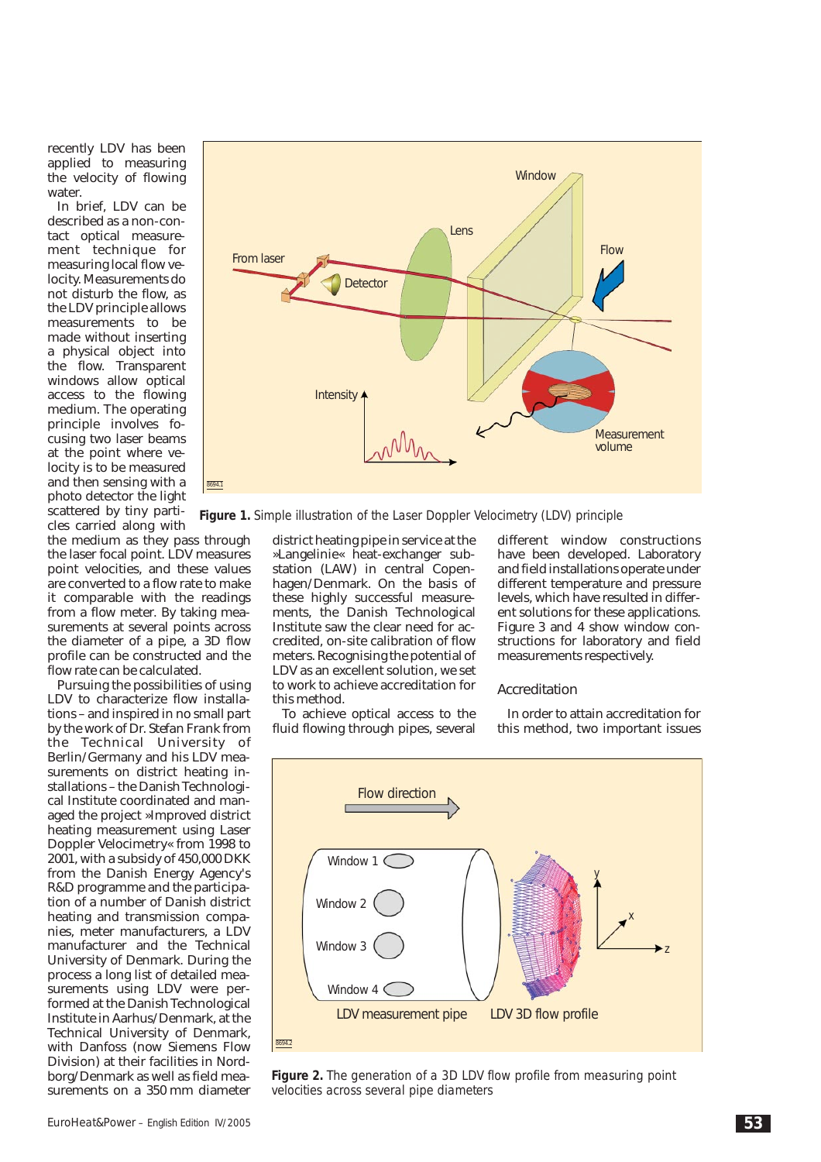recently LDV has been applied to measuring the velocity of flowing water.

In brief, LDV can be described as a non-contact optical measurement technique for measuring local flow velocity. Measurements do not disturb the flow, as the LDV principle allows measurements to be made without inserting a physical object into the flow. Transparent windows allow optical access to the flowing medium. The operating principle involves focusing two laser beams at the point where velocity is to be measured and then sensing with a photo detector the light scattered by tiny particles carried along with

the medium as they pass through the laser focal point. LDV measures point velocities, and these values are converted to a flow rate to make it comparable with the readings from a flow meter. By taking measurements at several points across the diameter of a pipe, a 3D flow profile can be constructed and the flow rate can be calculated.

Pursuing the possibilities of using LDV to characterize flow installations – and inspired in no small part by the work of Dr. *Stefan Frank* from the Technical University of Berlin/Germany and his LDV measurements on district heating installations – the Danish Technological Institute coordinated and managed the project »Improved district heating measurement using Laser Doppler Velocimetry« from 1998 to 2001, with a subsidy of 450,000 DKK from the Danish Energy Agency's R&D programme and the participation of a number of Danish district heating and transmission companies, meter manufacturers, a LDV manufacturer and the Technical University of Denmark. During the process a long list of detailed measurements using LDV were performed at the Danish Technological Institute in Aarhus/Denmark, at the Technical University of Denmark, with Danfoss (now Siemens Flow Division) at their facilities in Nordborg/Denmark as well as field measurements on a 350 mm diameter



*Figure 1. Simple illustration of the Laser Doppler Velocimetry (LDV) principle*

district heating pipe in service at the »Langelinie« heat-exchanger substation (LAW) in central Copenhagen/Denmark. On the basis of these highly successful measurements, the Danish Technological Institute saw the clear need for accredited, on-site calibration of flow meters. Recognising the potential of LDV as an excellent solution, we set to work to achieve accreditation for this method.

To achieve optical access to the fluid flowing through pipes, several

different window constructions have been developed. Laboratory and field installations operate under different temperature and pressure levels, which have resulted in different solutions for these applications. *Figure 3* and *4* show window constructions for laboratory and field measurements respectively.

#### Accreditation

In order to attain accreditation for this method, two important issues



*Figure 2. The generation of a 3D LDV flow profile from measuring point velocities across several pipe diameters*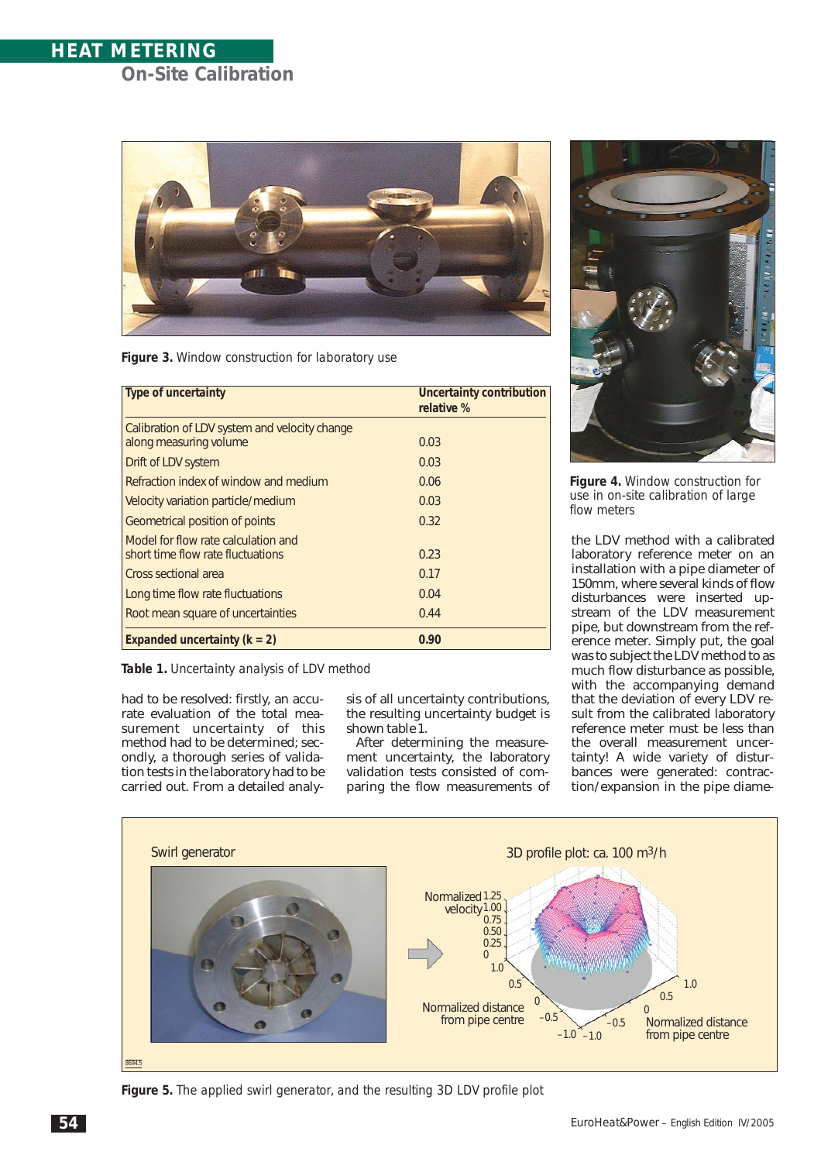## **HEAT METERING On-Site Calibration**



*Figure 3. Window construction for laboratory use*

| <b>Type of uncertainty</b>                                               | Uncertainty contribution<br>relative % |
|--------------------------------------------------------------------------|----------------------------------------|
| Calibration of LDV system and velocity change<br>along measuring volume  | 0.03                                   |
| Drift of LDV system                                                      | 0.03                                   |
| Refraction index of window and medium                                    | 0.06                                   |
| Velocity variation particle/medium                                       | 0.03                                   |
| Geometrical position of points                                           | 0.32                                   |
| Model for flow rate calculation and<br>short time flow rate fluctuations | 0.23                                   |
| Cross sectional area                                                     | 0.17                                   |
| Long time flow rate fluctuations                                         | 0.04                                   |
| Root mean square of uncertainties                                        | 0.44                                   |
| Expanded uncertainty $(k = 2)$                                           | 0.90                                   |

*Table 1. Uncertainty analysis of LDV method*

had to be resolved: firstly, an accurate evaluation of the total measurement uncertainty of this method had to be determined; secondly, a thorough series of validation tests in the laboratory had to be carried out. From a detailed analysis of all uncertainty contributions, the resulting uncertainty budget is shown *table 1*.

After determining the measurement uncertainty, the laboratory validation tests consisted of comparing the flow measurements of



*Figure 4. Window construction for use in on-site calibration of large flow meters*

the LDV method with a calibrated laboratory reference meter on an installation with a pipe diameter of 150mm, where several kinds of flow disturbances were inserted upstream of the LDV measurement pipe, but downstream from the reference meter. Simply put, the goal was to subject the LDV method to as much flow disturbance as possible, with the accompanying demand that the deviation of every LDV result from the calibrated laboratory reference meter must be less than the overall measurement uncertainty! A wide variety of disturbances were generated: contraction/expansion in the pipe diame-



*Figure 5. The applied swirl generator, and the resulting 3D LDV profile plot*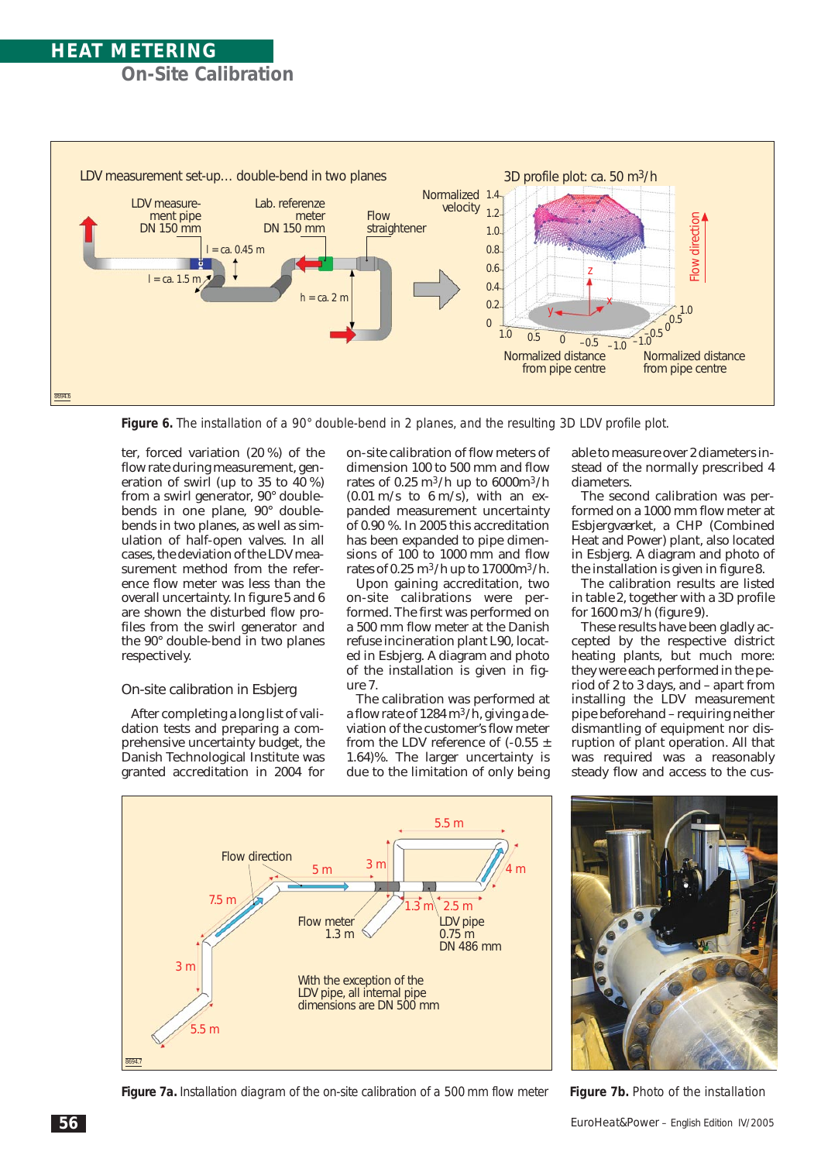## **HEAT METERING On-Site Calibration**



*Figure 6. The installation of a 90° double-bend in 2 planes, and the resulting 3D LDV profile plot.*

ter, forced variation (20 %) of the flow rate during measurement, generation of swirl (up to 35 to 40 %) from a swirl generator, 90° doublebends in one plane, 90° doublebends in two planes, as well as simulation of half-open valves. In all cases, the deviation of the LDV measurement method from the reference flow meter was less than the overall uncertainty. In *figure 5* and *6* are shown the disturbed flow profiles from the swirl generator and the 90° double-bend in two planes respectively.

### On-site calibration in Esbjerg

After completing a long list of validation tests and preparing a comprehensive uncertainty budget, the Danish Technological Institute was granted accreditation in 2004 for

on-site calibration of flow meters of dimension 100 to 500 mm and flow rates of  $0.25 \text{ m}^3/\text{h}$  up to  $6000 \text{ m}^3/\text{h}$  $(0.01 \text{ m/s}$  to  $6 \text{ m/s})$ , with an expanded measurement uncertainty of 0.90 %. In 2005 this accreditation has been expanded to pipe dimensions of 100 to 1000 mm and flow rates of  $0.25 \text{ m}^3/\text{h}$  up to  $17000 \text{ m}^3/\text{h}$ .

Upon gaining accreditation, two on-site calibrations were performed. The first was performed on a 500 mm flow meter at the Danish refuse incineration plant L90, located in Esbjerg. A diagram and photo of the installation is given in *figure 7*.

The calibration was performed at a flow rate of 1284 m<sup>3</sup>/h, giving a deviation of the customer's flow meter from the LDV reference of  $(-0.55 \pm$ 1.64)%. The larger uncertainty is due to the limitation of only being

able to measure over 2 diameters instead of the normally prescribed 4 diameters.

The second calibration was performed on a 1000 mm flow meter at Esbjergværket, a CHP (Combined Heat and Power) plant, also located in Esbjerg. A diagram and photo of the installation is given in *figure 8*.

The calibration results are listed in *table 2*, together with a 3D profile for 1600 m3/h (*figure 9*).

These results have been gladly accepted by the respective district heating plants, but much more: they were each performed in the period of 2 to 3 days, and – apart from installing the LDV measurement pipe beforehand – requiring neither dismantling of equipment nor disruption of plant operation. All that was required was a reasonably steady flow and access to the cus-



*Figure 7a. Installation diagram of the on-site calibration of a 500 mm flow meter Figure 7b. Photo of the installation*